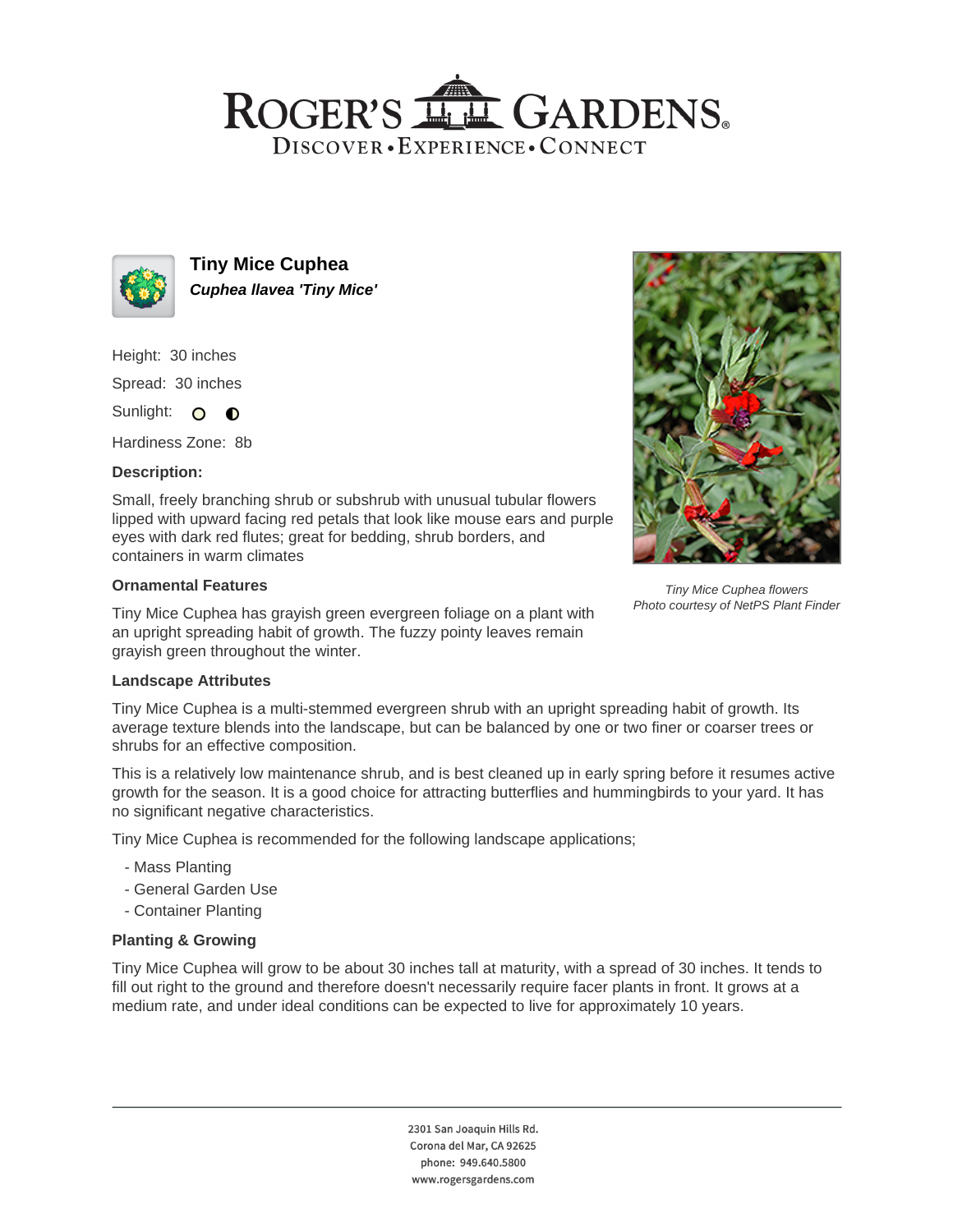## ROGER'S LL GARDENS. DISCOVER · EXPERIENCE · CONNECT



**Tiny Mice Cuphea Cuphea llavea 'Tiny Mice'**

Height: 30 inches

Spread: 30 inches

Sunlight: O **O** 

Hardiness Zone: 8b

### **Description:**

Small, freely branching shrub or subshrub with unusual tubular flowers lipped with upward facing red petals that look like mouse ears and purple eyes with dark red flutes; great for bedding, shrub borders, and containers in warm climates

#### **Ornamental Features**

Tiny Mice Cuphea has grayish green evergreen foliage on a plant with an upright spreading habit of growth. The fuzzy pointy leaves remain grayish green throughout the winter.

### **Landscape Attributes**

Tiny Mice Cuphea is a multi-stemmed evergreen shrub with an upright spreading habit of growth. Its average texture blends into the landscape, but can be balanced by one or two finer or coarser trees or shrubs for an effective composition.

This is a relatively low maintenance shrub, and is best cleaned up in early spring before it resumes active growth for the season. It is a good choice for attracting butterflies and hummingbirds to your yard. It has no significant negative characteristics.

Tiny Mice Cuphea is recommended for the following landscape applications;

- Mass Planting
- General Garden Use
- Container Planting

### **Planting & Growing**

Tiny Mice Cuphea will grow to be about 30 inches tall at maturity, with a spread of 30 inches. It tends to fill out right to the ground and therefore doesn't necessarily require facer plants in front. It grows at a medium rate, and under ideal conditions can be expected to live for approximately 10 years.



Tiny Mice Cuphea flowers Photo courtesy of NetPS Plant Finder

2301 San Joaquin Hills Rd. Corona del Mar, CA 92625 phone: 949.640.5800 www.rogersgardens.com